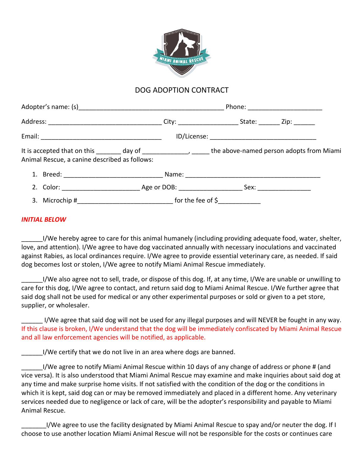

## DOG ADOPTION CONTRACT

|                                               |                                                                                                           | Phone: ______________________ |  |  |
|-----------------------------------------------|-----------------------------------------------------------------------------------------------------------|-------------------------------|--|--|
|                                               |                                                                                                           |                               |  |  |
|                                               |                                                                                                           |                               |  |  |
| Animal Rescue, a canine described as follows: | It is accepted that on this ________ day of ____________________ the above-named person adopts from Miami |                               |  |  |
|                                               |                                                                                                           |                               |  |  |
|                                               |                                                                                                           |                               |  |  |
|                                               | 3. Microchip #__________________________________ for the fee of \$_______________                         |                               |  |  |

## *INITIAL BELOW*

\_\_\_\_\_\_I/We hereby agree to care for this animal humanely (including providing adequate food, water, shelter, love, and attention). I/We agree to have dog vaccinated annually with necessary inoculations and vaccinated against Rabies, as local ordinances require. I/We agree to provide essential veterinary care, as needed. If said dog becomes lost or stolen, I/We agree to notify Miami Animal Rescue immediately.

\_\_\_\_\_\_I/We also agree not to sell, trade, or dispose of this dog. If, at any time, I/We are unable or unwilling to care for this dog, I/We agree to contact, and return said dog to Miami Animal Rescue. I/We further agree that said dog shall not be used for medical or any other experimental purposes or sold or given to a pet store, supplier, or wholesaler.

\_\_\_\_\_\_ I/We agree that said dog will not be used for any illegal purposes and will NEVER be fought in any way. If this clause is broken, I/We understand that the dog will be immediately confiscated by Miami Animal Rescue and all law enforcement agencies will be notified, as applicable.

\_\_\_\_\_\_I/We certify that we do not live in an area where dogs are banned.

I/We agree to notify Miami Animal Rescue within 10 days of any change of address or phone # (and vice versa). It is also understood that Miami Animal Rescue may examine and make inquiries about said dog at any time and make surprise home visits. If not satisfied with the condition of the dog or the conditions in which it is kept, said dog can or may be removed immediately and placed in a different home. Any veterinary services needed due to negligence or lack of care, will be the adopter's responsibility and payable to Miami Animal Rescue.

I/We agree to use the facility designated by Miami Animal Rescue to spay and/or neuter the dog. If I choose to use another location Miami Animal Rescue will not be responsible for the costs or continues care